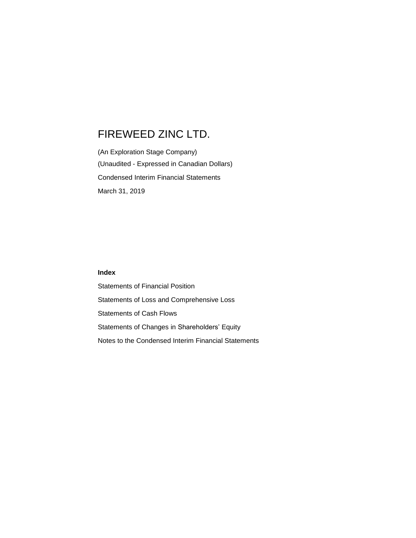(An Exploration Stage Company) (Unaudited - Expressed in Canadian Dollars) Condensed Interim Financial Statements March 31, 2019

# **Index**

Statements of Financial Position Statements of Loss and Comprehensive Loss Statements of Cash Flows Statements of Changes in Shareholders' Equity Notes to the Condensed Interim Financial Statements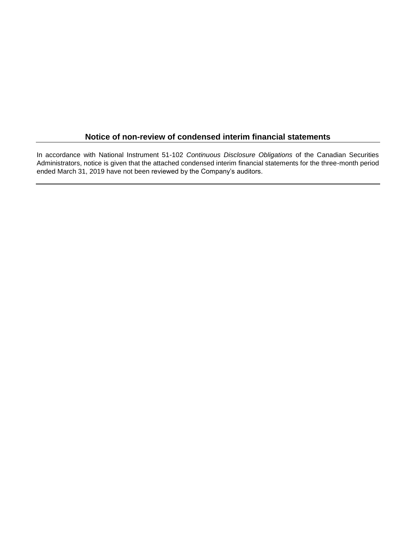# **Notice of non-review of condensed interim financial statements**

In accordance with National Instrument 51-102 *Continuous Disclosure Obligations* of the Canadian Securities Administrators, notice is given that the attached condensed interim financial statements for the three-month period ended March 31, 2019 have not been reviewed by the Company's auditors.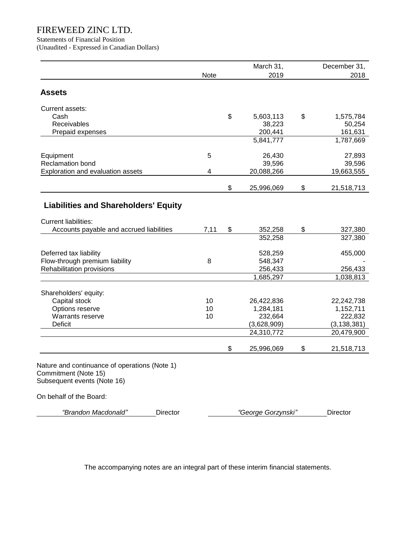Statements of Financial Position

(Unaudited - Expressed in Canadian Dollars)

|                                                                                                      |      | March 31,              | December 31,     |
|------------------------------------------------------------------------------------------------------|------|------------------------|------------------|
|                                                                                                      | Note | 2019                   | 2018             |
| <b>Assets</b>                                                                                        |      |                        |                  |
| Current assets:                                                                                      |      |                        |                  |
| Cash                                                                                                 |      | \$<br>5,603,113        | \$<br>1,575,784  |
| Receivables                                                                                          |      | 38,223                 | 50,254           |
| Prepaid expenses                                                                                     |      | 200,441                | 161,631          |
|                                                                                                      |      | $\overline{5,841,777}$ | 1,787,669        |
| Equipment                                                                                            | 5    | 26,430                 | 27,893           |
| <b>Reclamation bond</b>                                                                              |      | 39,596                 | 39,596           |
| Exploration and evaluation assets                                                                    | 4    | 20,088,266             | 19,663,555       |
|                                                                                                      |      | \$<br>25,996,069       | \$<br>21,518,713 |
| <b>Liabilities and Shareholders' Equity</b>                                                          |      |                        |                  |
| <b>Current liabilities:</b>                                                                          |      |                        |                  |
| Accounts payable and accrued liabilities                                                             | 7,11 | \$<br>352,258          | \$<br>327,380    |
|                                                                                                      |      | 352,258                | 327,380          |
| Deferred tax liability                                                                               |      | 528,259                | 455,000          |
| Flow-through premium liability                                                                       | 8    | 548,347                |                  |
| Rehabilitation provisions                                                                            |      | 256,433                | 256,433          |
|                                                                                                      |      | 1,685,297              | 1,038,813        |
| Shareholders' equity:                                                                                |      |                        |                  |
| Capital stock                                                                                        | 10   | 26,422,836             | 22,242,738       |
| Options reserve                                                                                      | 10   | 1,284,181              | 1,152,711        |
| Warrants reserve                                                                                     | 10   | 232,664                | 222,832          |
| <b>Deficit</b>                                                                                       |      | (3,628,909)            | (3, 138, 381)    |
|                                                                                                      |      | 24,310,772             | 20,479,900       |
|                                                                                                      |      | \$<br>25,996,069       | \$<br>21,518,713 |
| Nature and continuance of operations (Note 1)<br>Commitment (Note 15)<br>Subsequent events (Note 16) |      |                        |                  |
| On behalf of the Board:                                                                              |      |                        |                  |
| "Brandon Macdonald"<br>Director                                                                      |      | "George Gorzynski"     | Director         |

The accompanying notes are an integral part of these interim financial statements.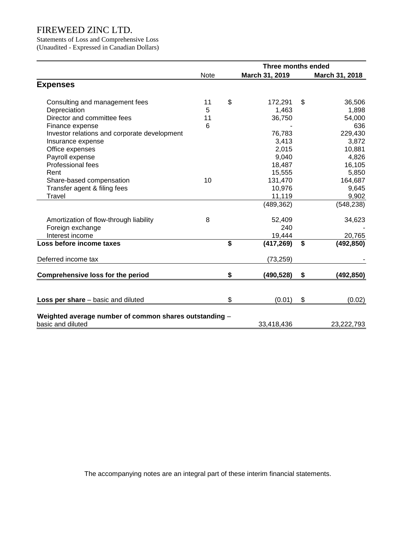Statements of Loss and Comprehensive Loss (Unaudited - Expressed in Canadian Dollars)

|                                                                             | <b>Three months ended</b> |    |                |    |                |  |  |
|-----------------------------------------------------------------------------|---------------------------|----|----------------|----|----------------|--|--|
|                                                                             | <b>Note</b>               |    | March 31, 2019 |    | March 31, 2018 |  |  |
| <b>Expenses</b>                                                             |                           |    |                |    |                |  |  |
| Consulting and management fees                                              | 11                        | \$ | 172,291        | \$ | 36,506         |  |  |
| Depreciation                                                                | 5                         |    | 1,463          |    | 1,898          |  |  |
| Director and committee fees                                                 | 11                        |    | 36,750         |    | 54,000         |  |  |
| Finance expense                                                             | 6                         |    |                |    | 636            |  |  |
| Investor relations and corporate development                                |                           |    | 76,783         |    | 229,430        |  |  |
| Insurance expense                                                           |                           |    | 3,413          |    | 3,872          |  |  |
| Office expenses                                                             |                           |    | 2,015          |    | 10,881         |  |  |
| Payroll expense                                                             |                           |    | 9,040          |    | 4,826          |  |  |
| Professional fees                                                           |                           |    | 18,487         |    | 16,105         |  |  |
| Rent                                                                        |                           |    | 15,555         |    | 5,850          |  |  |
| Share-based compensation                                                    | 10                        |    | 131,470        |    | 164,687        |  |  |
| Transfer agent & filing fees                                                |                           |    | 10,976         |    | 9,645          |  |  |
| Travel                                                                      |                           |    | 11,119         |    | 9,902          |  |  |
|                                                                             |                           |    | (489, 362)     |    | (548, 238)     |  |  |
| Amortization of flow-through liability                                      | 8                         |    | 52,409         |    | 34,623         |  |  |
| Foreign exchange                                                            |                           |    | 240            |    |                |  |  |
| Interest income                                                             |                           |    | 19,444         |    | 20,765         |  |  |
| Loss before income taxes                                                    |                           | \$ | (417, 269)     | \$ | (492, 850)     |  |  |
| Deferred income tax                                                         |                           |    | (73, 259)      |    |                |  |  |
| <b>Comprehensive loss for the period</b>                                    |                           | \$ | (490, 528)     | \$ | (492, 850)     |  |  |
|                                                                             |                           |    |                |    |                |  |  |
| Loss per share - basic and diluted                                          |                           | \$ | (0.01)         | \$ | (0.02)         |  |  |
|                                                                             |                           |    |                |    |                |  |  |
| Weighted average number of common shares outstanding -<br>basic and diluted |                           |    | 33,418,436     |    | 23,222,793     |  |  |

The accompanying notes are an integral part of these interim financial statements.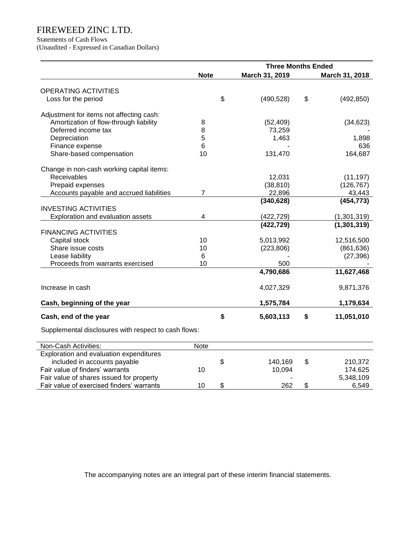Statements of Cash Flows

(Unaudited - Expressed in Canadian Dollars)

|                                                      | <b>Three Months Ended</b> |                |    |                |  |  |  |
|------------------------------------------------------|---------------------------|----------------|----|----------------|--|--|--|
|                                                      | <b>Note</b>               | March 31, 2019 |    | March 31, 2018 |  |  |  |
| <b>OPERATING ACTIVITIES</b>                          |                           |                |    |                |  |  |  |
| Loss for the period                                  | \$                        | (490, 528)     | \$ | (492, 850)     |  |  |  |
|                                                      |                           |                |    |                |  |  |  |
| Adjustment for items not affecting cash:             |                           |                |    |                |  |  |  |
| Amortization of flow-through liability               | 8                         | (52, 409)      |    | (34, 623)      |  |  |  |
| Deferred income tax                                  | 8                         | 73,259         |    |                |  |  |  |
| Depreciation                                         | 5                         | 1,463          |    | 1,898          |  |  |  |
| Finance expense                                      | 6                         |                |    | 636            |  |  |  |
| Share-based compensation                             | 10                        | 131,470        |    | 164,687        |  |  |  |
| Change in non-cash working capital items:            |                           |                |    |                |  |  |  |
| Receivables                                          |                           | 12,031         |    | (11, 197)      |  |  |  |
| Prepaid expenses                                     |                           | (38, 810)      |    | (126, 767)     |  |  |  |
| Accounts payable and accrued liabilities             | $\overline{7}$            | 22,896         |    | 43,443         |  |  |  |
|                                                      |                           | (340, 628)     |    | (454, 773)     |  |  |  |
| <b>INVESTING ACTIVITIES</b>                          |                           |                |    |                |  |  |  |
| Exploration and evaluation assets                    | 4                         | (422, 729)     |    | (1,301,319)    |  |  |  |
|                                                      |                           | (422, 729)     |    | (1, 301, 319)  |  |  |  |
| <b>FINANCING ACTIVITIES</b>                          |                           |                |    |                |  |  |  |
| Capital stock                                        | 10                        | 5,013,992      |    | 12,516,500     |  |  |  |
| Share issue costs                                    | 10                        | (223, 806)     |    | (861, 636)     |  |  |  |
| Lease liability                                      | 6                         |                |    | (27, 396)      |  |  |  |
| Proceeds from warrants exercised                     | 10                        | 500            |    |                |  |  |  |
|                                                      |                           | 4,790,686      |    | 11,627,468     |  |  |  |
| Increase in cash                                     |                           | 4,027,329      |    | 9,871,376      |  |  |  |
|                                                      |                           |                |    |                |  |  |  |
| Cash, beginning of the year                          |                           | 1,575,784      |    | 1,179,634      |  |  |  |
| Cash, end of the year                                | \$                        | 5,603,113      | \$ | 11,051,010     |  |  |  |
| Supplemental disclosures with respect to cash flows: |                           |                |    |                |  |  |  |
| Non-Cash Activities:                                 | Note                      |                |    |                |  |  |  |
| Exploration and evaluation expenditures              |                           |                |    |                |  |  |  |
| included in accounts payable                         | \$                        | 140,169        | \$ | 210,372        |  |  |  |
| Fair value of finders' warrants                      | 10                        | 10,094         |    | 174.625        |  |  |  |

The accompanying notes are an integral part of these interim financial statements.

Fair value of shares issued for property<br>
Fair value of exercised finders' warrants<br>
Fair value of exercised finders' warrants<br>
5,549 Fair value of exercised finders' warrants  $\begin{array}{ccc} 10 & \text{ } \text{ } \text{ } & 10 & \text{ } & 262 & \text{ } & 6,549 \end{array}$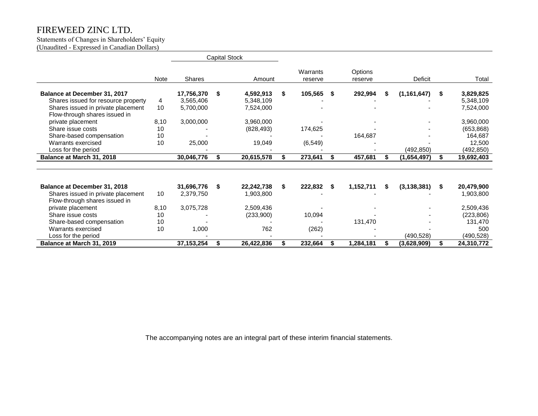# Statements of Changes in Shareholders' Equity

(Unaudited - Expressed in Canadian Dollars)

|                                                                     |      |               | <b>Capital Stock</b> |            |    |                     |    |                    |   |               |    |            |
|---------------------------------------------------------------------|------|---------------|----------------------|------------|----|---------------------|----|--------------------|---|---------------|----|------------|
|                                                                     | Note | <b>Shares</b> |                      | Amount     |    | Warrants<br>reserve |    | Options<br>reserve |   | Deficit       |    | Total      |
| Balance at December 31, 2017                                        |      | 17,756,370    | - \$                 | 4,592,913  | S. | 105,565             | 5. | 292,994            | S | (1, 161, 647) | S. | 3,829,825  |
| Shares issued for resource property                                 | 4    | 3,565,406     |                      | 5,348,109  |    |                     |    |                    |   |               |    | 5,348,109  |
| Shares issued in private placement                                  | 10   | 5,700,000     |                      | 7,524,000  |    |                     |    |                    |   |               |    | 7,524,000  |
| Flow-through shares issued in                                       |      |               |                      |            |    |                     |    |                    |   |               |    |            |
| private placement                                                   | 8,10 | 3,000,000     |                      | 3,960,000  |    |                     |    |                    |   |               |    | 3,960,000  |
| Share issue costs                                                   | 10   |               |                      | (828, 493) |    | 174,625             |    |                    |   |               |    | (653, 868) |
| Share-based compensation                                            | 10   |               |                      |            |    |                     |    | 164,687            |   |               |    | 164,687    |
| Warrants exercised                                                  | 10   | 25,000        |                      | 19,049     |    | (6, 549)            |    |                    |   |               |    | 12,500     |
| Loss for the period                                                 |      |               |                      |            |    |                     |    |                    |   | (492,850)     |    | (492, 850) |
| Balance at March 31, 2018                                           |      | 30,046,776    | \$                   | 20,615,578 | \$ | 273,641             | \$ | 457,681            | S | (1,654,497)   | \$ | 19,692,403 |
|                                                                     |      |               |                      |            |    |                     |    |                    |   |               |    |            |
| Balance at December 31, 2018                                        |      | 31,696,776    | - \$                 | 22,242,738 | \$ | 222,832             | \$ | 1,152,711          | S | (3, 138, 381) | S. | 20,479,900 |
| Shares issued in private placement<br>Flow-through shares issued in | 10   | 2,379,750     |                      | 1,903,800  |    |                     |    |                    |   |               |    | 1,903,800  |
| private placement                                                   | 8,10 | 3,075,728     |                      | 2,509,436  |    |                     |    |                    |   |               |    | 2,509,436  |
| Share issue costs                                                   | 10   |               |                      | (233,900)  |    | 10,094              |    |                    |   |               |    | (223, 806) |
| Share-based compensation                                            | 10   |               |                      |            |    |                     |    | 131,470            |   |               |    | 131,470    |
| Warrants exercised                                                  | 10   | 1,000         |                      | 762        |    | (262)               |    |                    |   |               |    | 500        |
| Loss for the period                                                 |      |               |                      |            |    |                     |    |                    |   | (490, 528)    |    | (490, 528) |
| Balance at March 31, 2019                                           |      | 37, 153, 254  | \$                   | 26,422,836 | \$ | 232,664             | \$ | 1,284,181          | S | (3,628,909)   | \$ | 24,310,772 |

The accompanying notes are an integral part of these interim financial statements.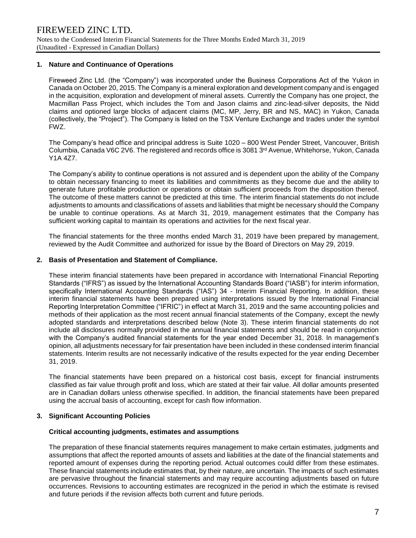## **1. Nature and Continuance of Operations**

Fireweed Zinc Ltd. (the "Company") was incorporated under the Business Corporations Act of the Yukon in Canada on October 20, 2015. The Company is a mineral exploration and development company and is engaged in the acquisition, exploration and development of mineral assets. Currently the Company has one project, the Macmillan Pass Project, which includes the Tom and Jason claims and zinc-lead-silver deposits, the Nidd claims and optioned large blocks of adjacent claims (MC, MP, Jerry, BR and NS, MAC) in Yukon, Canada (collectively, the "Project"). The Company is listed on the TSX Venture Exchange and trades under the symbol FWZ.

The Company's head office and principal address is Suite 1020 – 800 West Pender Street, Vancouver, British Columbia, Canada V6C 2V6. The registered and records office is 3081 3rd Avenue, Whitehorse, Yukon, Canada Y1A 4Z7.

The Company's ability to continue operations is not assured and is dependent upon the ability of the Company to obtain necessary financing to meet its liabilities and commitments as they become due and the ability to generate future profitable production or operations or obtain sufficient proceeds from the disposition thereof. The outcome of these matters cannot be predicted at this time. The interim financial statements do not include adjustments to amounts and classifications of assets and liabilities that might be necessary should the Company be unable to continue operations. As at March 31, 2019, management estimates that the Company has sufficient working capital to maintain its operations and activities for the next fiscal year.

The financial statements for the three months ended March 31, 2019 have been prepared by management, reviewed by the Audit Committee and authorized for issue by the Board of Directors on May 29, 2019.

# **2. Basis of Presentation and Statement of Compliance.**

These interim financial statements have been prepared in accordance with International Financial Reporting Standards ("IFRS") as issued by the International Accounting Standards Board ("IASB") for interim information, specifically International Accounting Standards ("IAS") 34 - Interim Financial Reporting. In addition, these interim financial statements have been prepared using interpretations issued by the International Financial Reporting Interpretation Committee ("IFRIC") in effect at March 31, 2019 and the same accounting policies and methods of their application as the most recent annual financial statements of the Company, except the newly adopted standards and interpretations described below (Note 3). These interim financial statements do not include all disclosures normally provided in the annual financial statements and should be read in conjunction with the Company's audited financial statements for the year ended December 31, 2018. In management's opinion, all adjustments necessary for fair presentation have been included in these condensed interim financial statements. Interim results are not necessarily indicative of the results expected for the year ending December 31, 2019.

The financial statements have been prepared on a historical cost basis, except for financial instruments classified as fair value through profit and loss, which are stated at their fair value. All dollar amounts presented are in Canadian dollars unless otherwise specified. In addition, the financial statements have been prepared using the accrual basis of accounting, except for cash flow information.

### **3. Significant Accounting Policies**

### **Critical accounting judgments, estimates and assumptions**

The preparation of these financial statements requires management to make certain estimates, judgments and assumptions that affect the reported amounts of assets and liabilities at the date of the financial statements and reported amount of expenses during the reporting period. Actual outcomes could differ from these estimates. These financial statements include estimates that, by their nature, are uncertain. The impacts of such estimates are pervasive throughout the financial statements and may require accounting adjustments based on future occurrences. Revisions to accounting estimates are recognized in the period in which the estimate is revised and future periods if the revision affects both current and future periods.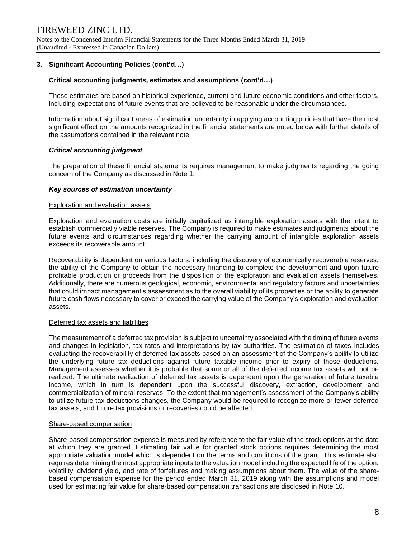# **3. Significant Accounting Policies (cont'd…)**

### **Critical accounting judgments, estimates and assumptions (cont'd…)**

These estimates are based on historical experience, current and future economic conditions and other factors, including expectations of future events that are believed to be reasonable under the circumstances.

Information about significant areas of estimation uncertainty in applying accounting policies that have the most significant effect on the amounts recognized in the financial statements are noted below with further details of the assumptions contained in the relevant note.

### *Critical accounting judgment*

The preparation of these financial statements requires management to make judgments regarding the going concern of the Company as discussed in Note 1.

### *Key sources of estimation uncertainty*

#### Exploration and evaluation assets

Exploration and evaluation costs are initially capitalized as intangible exploration assets with the intent to establish commercially viable reserves. The Company is required to make estimates and judgments about the future events and circumstances regarding whether the carrying amount of intangible exploration assets exceeds its recoverable amount.

Recoverability is dependent on various factors, including the discovery of economically recoverable reserves, the ability of the Company to obtain the necessary financing to complete the development and upon future profitable production or proceeds from the disposition of the exploration and evaluation assets themselves. Additionally, there are numerous geological, economic, environmental and regulatory factors and uncertainties that could impact management's assessment as to the overall viability of its properties or the ability to generate future cash flows necessary to cover or exceed the carrying value of the Company's exploration and evaluation assets.

### Deferred tax assets and liabilities

The measurement of a deferred tax provision is subject to uncertainty associated with the timing of future events and changes in legislation, tax rates and interpretations by tax authorities. The estimation of taxes includes evaluating the recoverability of deferred tax assets based on an assessment of the Company's ability to utilize the underlying future tax deductions against future taxable income prior to expiry of those deductions. Management assesses whether it is probable that some or all of the deferred income tax assets will not be realized. The ultimate realization of deferred tax assets is dependent upon the generation of future taxable income, which in turn is dependent upon the successful discovery, extraction, development and commercialization of mineral reserves. To the extent that management's assessment of the Company's ability to utilize future tax deductions changes, the Company would be required to recognize more or fewer deferred tax assets, and future tax provisions or recoveries could be affected.

### Share-based compensation

Share-based compensation expense is measured by reference to the fair value of the stock options at the date at which they are granted. Estimating fair value for granted stock options requires determining the most appropriate valuation model which is dependent on the terms and conditions of the grant. This estimate also requires determining the most appropriate inputs to the valuation model including the expected life of the option, volatility, dividend yield, and rate of forfeitures and making assumptions about them. The value of the sharebased compensation expense for the period ended March 31, 2019 along with the assumptions and model used for estimating fair value for share-based compensation transactions are disclosed in Note 10.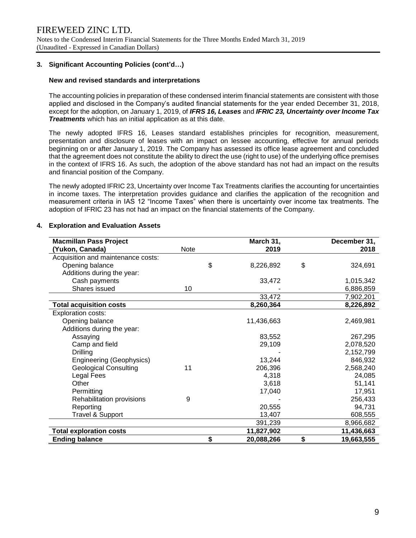# **3. Significant Accounting Policies (cont'd…)**

## **New and revised standards and interpretations**

The accounting policies in preparation of these condensed interim financial statements are consistent with those applied and disclosed in the Company's audited financial statements for the year ended December 31, 2018, except for the adoption, on January 1, 2019, of *IFRS 16, Leases* and *IFRIC 23, Uncertainty over Income Tax Treatments* which has an initial application as at this date.

The newly adopted IFRS 16, Leases standard establishes principles for recognition, measurement, presentation and disclosure of leases with an impact on lessee accounting, effective for annual periods beginning on or after January 1, 2019. The Company has assessed its office lease agreement and concluded that the agreement does not constitute the ability to direct the use (right to use) of the underlying office premises in the context of IFRS 16. As such, the adoption of the above standard has not had an impact on the results and financial position of the Company.

The newly adopted IFRIC 23, Uncertainty over Income Tax Treatments clarifies the accounting for uncertainties in income taxes. The interpretation provides guidance and clarifies the application of the recognition and measurement criteria in IAS 12 "Income Taxes" when there is uncertainty over income tax treatments. The adoption of IFRIC 23 has not had an impact on the financial statements of the Company.

| <b>Macmillan Pass Project</b>      |      | March 31,        | December 31,     |
|------------------------------------|------|------------------|------------------|
| (Yukon, Canada)                    | Note | 2019             | 2018             |
| Acquisition and maintenance costs: |      |                  |                  |
| Opening balance                    |      | \$<br>8,226,892  | \$<br>324,691    |
| Additions during the year:         |      |                  |                  |
| Cash payments                      |      | 33,472           | 1,015,342        |
| Shares issued                      | 10   |                  | 6,886,859        |
|                                    |      | 33,472           | 7,902,201        |
| <b>Total acquisition costs</b>     |      | 8,260,364        | 8,226,892        |
| <b>Exploration costs:</b>          |      |                  |                  |
| Opening balance                    |      | 11,436,663       | 2,469,981        |
| Additions during the year:         |      |                  |                  |
| Assaying                           |      | 83,552           | 267,295          |
| Camp and field                     |      | 29,109           | 2,078,520        |
| Drilling                           |      |                  | 2,152,799        |
| Engineering (Geophysics)           |      | 13,244           | 846,932          |
| <b>Geological Consulting</b>       | 11   | 206,396          | 2,568,240        |
| Legal Fees                         |      | 4,318            | 24,085           |
| Other                              |      | 3,618            | 51,141           |
| Permitting                         |      | 17,040           | 17,951           |
| Rehabilitation provisions          | 9    |                  | 256,433          |
| Reporting                          |      | 20,555           | 94,731           |
| Travel & Support                   |      | 13,407           | 608,555          |
|                                    |      | 391,239          | 8,966,682        |
| <b>Total exploration costs</b>     |      | 11,827,902       | 11,436,663       |
| <b>Ending balance</b>              |      | \$<br>20,088,266 | \$<br>19,663,555 |

### **4. Exploration and Evaluation Assets**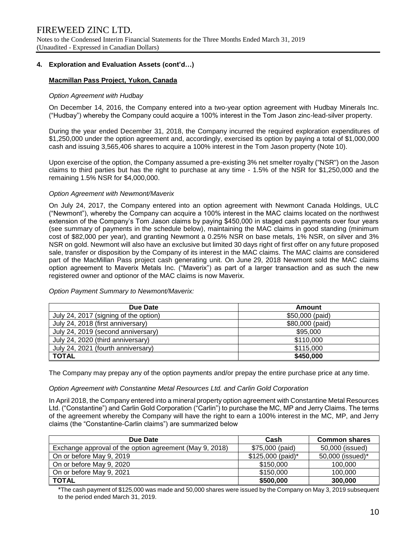# **4. Exploration and Evaluation Assets (cont'd…)**

# **Macmillan Pass Project, Yukon, Canada**

### *Option Agreement with Hudbay*

On December 14, 2016, the Company entered into a two-year option agreement with Hudbay Minerals Inc. ("Hudbay") whereby the Company could acquire a 100% interest in the Tom Jason zinc-lead-silver property.

During the year ended December 31, 2018, the Company incurred the required exploration expenditures of \$1,250,000 under the option agreement and, accordingly, exercised its option by paying a total of \$1,000,000 cash and issuing 3,565,406 shares to acquire a 100% interest in the Tom Jason property (Note 10).

Upon exercise of the option, the Company assumed a pre-existing 3% net smelter royalty ("NSR") on the Jason claims to third parties but has the right to purchase at any time - 1.5% of the NSR for \$1,250,000 and the remaining 1.5% NSR for \$4,000,000.

#### *Option Agreement with Newmont/Maverix*

On July 24, 2017, the Company entered into an option agreement with Newmont Canada Holdings, ULC ("Newmont"), whereby the Company can acquire a 100% interest in the MAC claims located on the northwest extension of the Company's Tom Jason claims by paying \$450,000 in staged cash payments over four years (see summary of payments in the schedule below), maintaining the MAC claims in good standing (minimum cost of \$82,000 per year), and granting Newmont a 0.25% NSR on base metals, 1% NSR, on silver and 3% NSR on gold. Newmont will also have an exclusive but limited 30 days right of first offer on any future proposed sale, transfer or disposition by the Company of its interest in the MAC claims. The MAC claims are considered part of the MacMillan Pass project cash generating unit. On June 29, 2018 Newmont sold the MAC claims option agreement to Maverix Metals Inc. ("Maverix") as part of a larger transaction and as such the new registered owner and optionor of the MAC claims is now Maverix.

| Due Date                              | Amount          |
|---------------------------------------|-----------------|
| July 24, 2017 (signing of the option) | \$50,000 (paid) |
| July 24, 2018 (first anniversary)     | \$80,000 (paid) |
| July 24, 2019 (second anniversary)    | \$95,000        |
| July 24, 2020 (third anniversary)     | \$110,000       |
| July 24, 2021 (fourth anniversary)    | \$115,000       |
| <b>TOTAL</b>                          | \$450,000       |

*Option Payment Summary to Newmont/Maverix:*

The Company may prepay any of the option payments and/or prepay the entire purchase price at any time.

### *Option Agreement with Constantine Metal Resources Ltd. and Carlin Gold Corporation*

In April 2018, the Company entered into a mineral property option agreement with Constantine Metal Resources Ltd. ("Constantine") and Carlin Gold Corporation ("Carlin") to purchase the MC, MP and Jerry Claims. The terms of the agreement whereby the Company will have the right to earn a 100% interest in the MC, MP, and Jerry claims (the "Constantine-Carlin claims") are summarized below

| Due Date                                                | Cash               | <b>Common shares</b> |
|---------------------------------------------------------|--------------------|----------------------|
| Exchange approval of the option agreement (May 9, 2018) | \$75,000 (paid)    | 50,000 (issued)      |
| On or before May 9, 2019                                | $$125,000$ (paid)* | 50,000 (issued)*     |
| On or before May 9, 2020                                | \$150,000          | 100,000              |
| On or before May 9, 2021                                | \$150,000          | 100,000              |
| <b>TOTAL</b>                                            | \$500,000          | 300,000              |

\*The cash payment of \$125,000 was made and 50,000 shares were issued by the Company on May 3, 2019 subsequent to the period ended March 31, 2019.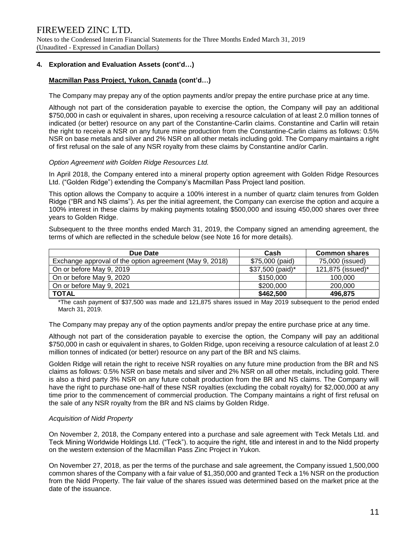# **4. Exploration and Evaluation Assets (cont'd…)**

# **Macmillan Pass Project, Yukon, Canada (cont'd…)**

The Company may prepay any of the option payments and/or prepay the entire purchase price at any time.

Although not part of the consideration payable to exercise the option, the Company will pay an additional \$750,000 in cash or equivalent in shares, upon receiving a resource calculation of at least 2.0 million tonnes of indicated (or better) resource on any part of the Constantine-Carlin claims. Constantine and Carlin will retain the right to receive a NSR on any future mine production from the Constantine-Carlin claims as follows: 0.5% NSR on base metals and silver and 2% NSR on all other metals including gold. The Company maintains a right of first refusal on the sale of any NSR royalty from these claims by Constantine and/or Carlin.

#### *Option Agreement with Golden Ridge Resources Ltd.*

In April 2018, the Company entered into a mineral property option agreement with Golden Ridge Resources Ltd. ("Golden Ridge") extending the Company's Macmillan Pass Project land position.

This option allows the Company to acquire a 100% interest in a number of quartz claim tenures from Golden Ridge ("BR and NS claims"). As per the initial agreement, the Company can exercise the option and acquire a 100% interest in these claims by making payments totaling \$500,000 and issuing 450,000 shares over three years to Golden Ridge.

Subsequent to the three months ended March 31, 2019, the Company signed an amending agreement, the terms of which are reflected in the schedule below (see Note 16 for more details).

| Due Date                                                | Cash             | <b>Common shares</b> |
|---------------------------------------------------------|------------------|----------------------|
| Exchange approval of the option agreement (May 9, 2018) | \$75,000 (paid)  | 75,000 (issued)      |
| On or before May 9, 2019                                | \$37,500 (paid)* | 121,875 (issued)*    |
| On or before May 9, 2020                                | \$150,000        | 100,000              |
| On or before May 9, 2021                                | \$200,000        | 200,000              |
| <b>TOTAL</b>                                            | \$462,500        | 496,875              |

\*The cash payment of \$37,500 was made and 121,875 shares issued in May 2019 subsequent to the period ended March 31, 2019.

The Company may prepay any of the option payments and/or prepay the entire purchase price at any time.

Although not part of the consideration payable to exercise the option, the Company will pay an additional \$750,000 in cash or equivalent in shares, to Golden Ridge, upon receiving a resource calculation of at least 2.0 million tonnes of indicated (or better) resource on any part of the BR and NS claims.

Golden Ridge will retain the right to receive NSR royalties on any future mine production from the BR and NS claims as follows: 0.5% NSR on base metals and silver and 2% NSR on all other metals, including gold. There is also a third party 3% NSR on any future cobalt production from the BR and NS claims. The Company will have the right to purchase one-half of these NSR royalties (excluding the cobalt royalty) for \$2,000,000 at any time prior to the commencement of commercial production. The Company maintains a right of first refusal on the sale of any NSR royalty from the BR and NS claims by Golden Ridge.

### *Acquisition of Nidd Property*

On November 2, 2018, the Company entered into a purchase and sale agreement with Teck Metals Ltd. and Teck Mining Worldwide Holdings Ltd. ("Teck"). to acquire the right, title and interest in and to the Nidd property on the western extension of the Macmillan Pass Zinc Project in Yukon.

On November 27, 2018, as per the terms of the purchase and sale agreement, the Company issued 1,500,000 common shares of the Company with a fair value of \$1,350,000 and granted Teck a 1% NSR on the production from the Nidd Property. The fair value of the shares issued was determined based on the market price at the date of the issuance.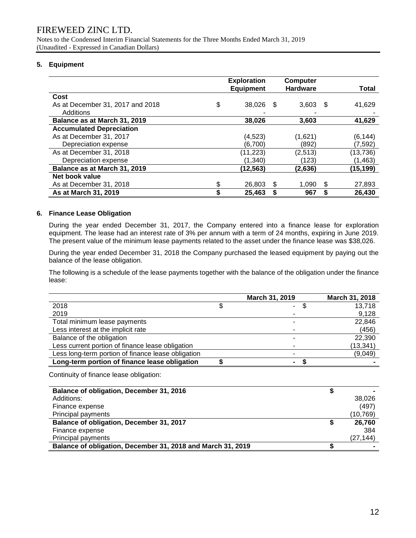Notes to the Condensed Interim Financial Statements for the Three Months Ended March 31, 2019 (Unaudited - Expressed in Canadian Dollars)

# **5. Equipment**

|                                  | <b>Exploration</b><br><b>Equipment</b> |      | Computer<br><b>Hardware</b> |    | <b>Total</b> |
|----------------------------------|----------------------------------------|------|-----------------------------|----|--------------|
| Cost                             |                                        |      |                             |    |              |
| As at December 31, 2017 and 2018 | \$<br>38,026                           | - \$ | 3,603                       | \$ | 41,629       |
| Additions                        |                                        |      |                             |    |              |
| Balance as at March 31, 2019     | 38,026                                 |      | 3,603                       |    | 41,629       |
| <b>Accumulated Depreciation</b>  |                                        |      |                             |    |              |
| As at December 31, 2017          | (4, 523)                               |      | (1,621)                     |    | (6, 144)     |
| Depreciation expense             | (6,700)                                |      | (892)                       |    | (7, 592)     |
| As at December 31, 2018          | (11,223)                               |      | (2,513)                     |    | (13,736)     |
| Depreciation expense             | (1, 340)                               |      | (123)                       |    | (1, 463)     |
| Balance as at March 31, 2019     | (12, 563)                              |      | (2,636)                     |    | (15,199)     |
| Net book value                   |                                        |      |                             |    |              |
| As at December 31, 2018          | \$<br>26,803                           | S    | 1.090                       | S  | 27,893       |
| As at March 31, 2019             | 25,463                                 |      | 967                         |    | 26,430       |

# **6. Finance Lease Obligation**

During the year ended December 31, 2017, the Company entered into a finance lease for exploration equipment. The lease had an interest rate of 3% per annum with a term of 24 months, expiring in June 2019. The present value of the minimum lease payments related to the asset under the finance lease was \$38,026.

During the year ended December 31, 2018 the Company purchased the leased equipment by paying out the balance of the lease obligation.

The following is a schedule of the lease payments together with the balance of the obligation under the finance lease:

|                                                    | March 31, 2019 |   | March 31, 2018 |
|----------------------------------------------------|----------------|---|----------------|
| 2018                                               | ٠.             | S | 13,718         |
| 2019                                               |                |   | 9,128          |
| Total minimum lease payments                       |                |   | 22,846         |
| Less interest at the implicit rate                 |                |   | (456)          |
| Balance of the obligation                          |                |   | 22,390         |
| Less current portion of finance lease obligation   |                |   | (13,341)       |
| Less long-term portion of finance lease obligation |                |   | (9,049)        |
| Long-term portion of finance lease obligation      |                |   |                |
| Continuity of finance lease obligation:            |                |   |                |
| Balance of obligation, December 31, 2016           |                |   |                |
|                                                    |                |   | $\sim$ $\sim$  |

| Additions:                                                  | 38,026   |
|-------------------------------------------------------------|----------|
| Finance expense                                             | (497     |
| Principal payments                                          | (10,769) |
| Balance of obligation, December 31, 2017                    | 26.760   |
| Finance expense                                             | 384      |
| Principal payments                                          | (27,144) |
| Balance of obligation, December 31, 2018 and March 31, 2019 |          |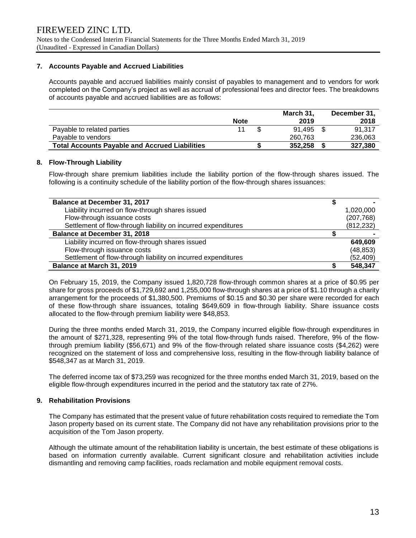# **7. Accounts Payable and Accrued Liabilities**

Accounts payable and accrued liabilities mainly consist of payables to management and to vendors for work completed on the Company's project as well as accrual of professional fees and director fees. The breakdowns of accounts payable and accrued liabilities are as follows:

|                                                       |             | March 31, | December 31, |
|-------------------------------------------------------|-------------|-----------|--------------|
|                                                       | <b>Note</b> | 2019      | 2018         |
| Payable to related parties                            | 11          | 91.495 \$ | 91.317       |
| Pavable to vendors                                    |             | 260.763   | 236,063      |
| <b>Total Accounts Payable and Accrued Liabilities</b> |             | 352,258   | 327.380      |

# **8. Flow-Through Liability**

Flow-through share premium liabilities include the liability portion of the flow-through shares issued. The following is a continuity schedule of the liability portion of the flow-through shares issuances:

| <b>Balance at December 31, 2017</b>                           |            |
|---------------------------------------------------------------|------------|
| Liability incurred on flow-through shares issued              | 1,020,000  |
| Flow-through issuance costs                                   | (207, 768) |
| Settlement of flow-through liability on incurred expenditures | (812, 232) |
| <b>Balance at December 31, 2018</b>                           |            |
| Liability incurred on flow-through shares issued              | 649.609    |
| Flow-through issuance costs                                   | (48, 853)  |
| Settlement of flow-through liability on incurred expenditures | (52, 409)  |
| Balance at March 31, 2019                                     | 548,347    |

On February 15, 2019, the Company issued 1,820,728 flow-through common shares at a price of \$0.95 per share for gross proceeds of \$1,729,692 and 1,255,000 flow-through shares at a price of \$1.10 through a charity arrangement for the proceeds of \$1,380,500. Premiums of \$0.15 and \$0.30 per share were recorded for each of these flow-through share issuances, totaling \$649,609 in flow-through liability. Share issuance costs allocated to the flow-through premium liability were \$48,853.

During the three months ended March 31, 2019, the Company incurred eligible flow-through expenditures in the amount of \$271,328, representing 9% of the total flow-through funds raised. Therefore, 9% of the flowthrough premium liability (\$56,671) and 9% of the flow-through related share issuance costs (\$4,262) were recognized on the statement of loss and comprehensive loss, resulting in the flow-through liability balance of \$548,347 as at March 31, 2019.

The deferred income tax of \$73,259 was recognized for the three months ended March 31, 2019, based on the eligible flow-through expenditures incurred in the period and the statutory tax rate of 27%.

### **9. Rehabilitation Provisions**

The Company has estimated that the present value of future rehabilitation costs required to remediate the Tom Jason property based on its current state. The Company did not have any rehabilitation provisions prior to the acquisition of the Tom Jason property.

Although the ultimate amount of the rehabilitation liability is uncertain, the best estimate of these obligations is based on information currently available. Current significant closure and rehabilitation activities include dismantling and removing camp facilities, roads reclamation and mobile equipment removal costs.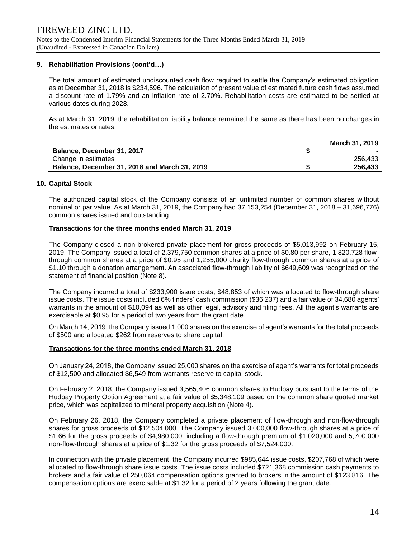# **9. Rehabilitation Provisions (cont'd…)**

The total amount of estimated undiscounted cash flow required to settle the Company's estimated obligation as at December 31, 2018 is \$234,596. The calculation of present value of estimated future cash flows assumed a discount rate of 1.79% and an inflation rate of 2.70%. Rehabilitation costs are estimated to be settled at various dates during 2028.

As at March 31, 2019, the rehabilitation liability balance remained the same as there has been no changes in the estimates or rates.

|                                                      | <b>March 31, 2019</b> |
|------------------------------------------------------|-----------------------|
| Balance, December 31, 2017                           |                       |
| Change in estimates                                  | 256.433               |
| <b>Balance, December 31, 2018 and March 31, 2019</b> | 256.433               |

### **10. Capital Stock**

The authorized capital stock of the Company consists of an unlimited number of common shares without nominal or par value. As at March 31, 2019, the Company had 37,153,254 (December 31, 2018 – 31,696,776) common shares issued and outstanding.

# **Transactions for the three months ended March 31, 2019**

The Company closed a non-brokered private placement for gross proceeds of \$5,013,992 on February 15, 2019. The Company issued a total of 2,379,750 common shares at a price of \$0.80 per share, 1,820,728 flowthrough common shares at a price of \$0.95 and 1,255,000 charity flow-through common shares at a price of \$1.10 through a donation arrangement. An associated flow-through liability of \$649,609 was recognized on the statement of financial position (Note 8).

The Company incurred a total of \$233,900 issue costs, \$48,853 of which was allocated to flow-through share issue costs. The issue costs included 6% finders' cash commission (\$36,237) and a fair value of 34,680 agents' warrants in the amount of \$10,094 as well as other legal, advisory and filing fees. All the agent's warrants are exercisable at \$0.95 for a period of two years from the grant date.

On March 14, 2019, the Company issued 1,000 shares on the exercise of agent's warrants for the total proceeds of \$500 and allocated \$262 from reserves to share capital.

### **Transactions for the three months ended March 31, 2018**

On January 24, 2018, the Company issued 25,000 shares on the exercise of agent's warrants for total proceeds of \$12,500 and allocated \$6,549 from warrants reserve to capital stock.

On February 2, 2018, the Company issued 3,565,406 common shares to Hudbay pursuant to the terms of the Hudbay Property Option Agreement at a fair value of \$5,348,109 based on the common share quoted market price, which was capitalized to mineral property acquisition (Note 4).

On February 26, 2018, the Company completed a private placement of flow-through and non-flow-through shares for gross proceeds of \$12,504,000. The Company issued 3,000,000 flow-through shares at a price of \$1.66 for the gross proceeds of \$4,980,000, including a flow-through premium of \$1,020,000 and 5,700,000 non-flow-through shares at a price of \$1.32 for the gross proceeds of \$7,524,000.

In connection with the private placement, the Company incurred \$985,644 issue costs, \$207,768 of which were allocated to flow-through share issue costs. The issue costs included \$721,368 commission cash payments to brokers and a fair value of 250,064 compensation options granted to brokers in the amount of \$123,816. The compensation options are exercisable at \$1.32 for a period of 2 years following the grant date.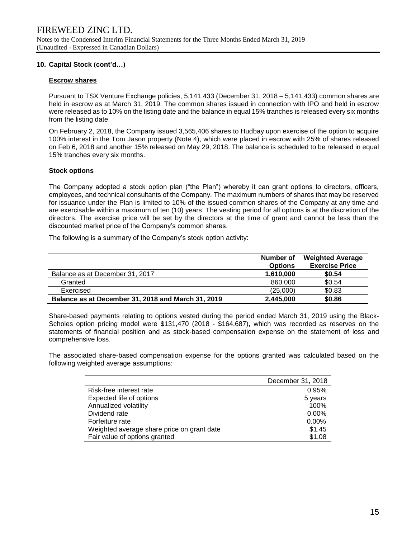# **10. Capital Stock (cont'd…)**

# **Escrow shares**

Pursuant to TSX Venture Exchange policies, 5,141,433 (December 31, 2018 – 5,141,433) common shares are held in escrow as at March 31, 2019. The common shares issued in connection with IPO and held in escrow were released as to 10% on the listing date and the balance in equal 15% tranches is released every six months from the listing date.

On February 2, 2018, the Company issued 3,565,406 shares to Hudbay upon exercise of the option to acquire 100% interest in the Tom Jason property (Note 4), which were placed in escrow with 25% of shares released on Feb 6, 2018 and another 15% released on May 29, 2018. The balance is scheduled to be released in equal 15% tranches every six months.

# **Stock options**

The Company adopted a stock option plan ("the Plan") whereby it can grant options to directors, officers, employees, and technical consultants of the Company. The maximum numbers of shares that may be reserved for issuance under the Plan is limited to 10% of the issued common shares of the Company at any time and are exercisable within a maximum of ten (10) years. The vesting period for all options is at the discretion of the directors. The exercise price will be set by the directors at the time of grant and cannot be less than the discounted market price of the Company's common shares.

The following is a summary of the Company's stock option activity:

|                                                    | Number of<br><b>Options</b> | <b>Weighted Average</b><br><b>Exercise Price</b> |
|----------------------------------------------------|-----------------------------|--------------------------------------------------|
| Balance as at December 31, 2017                    | 1,610,000                   | \$0.54                                           |
| Granted                                            | 860,000                     | \$0.54                                           |
| Exercised                                          | (25,000)                    | \$0.83                                           |
| Balance as at December 31, 2018 and March 31, 2019 | 2,445,000                   | \$0.86                                           |

Share-based payments relating to options vested during the period ended March 31, 2019 using the Black-Scholes option pricing model were \$131,470 (2018 - \$164,687), which was recorded as reserves on the statements of financial position and as stock-based compensation expense on the statement of loss and comprehensive loss.

The associated share-based compensation expense for the options granted was calculated based on the following weighted average assumptions:

|                                            | December 31, 2018 |
|--------------------------------------------|-------------------|
| Risk-free interest rate                    | 0.95%             |
| Expected life of options                   | 5 years           |
| Annualized volatility                      | 100%              |
| Dividend rate                              | $0.00\%$          |
| Forfeiture rate                            | $0.00\%$          |
| Weighted average share price on grant date | \$1.45            |
| Fair value of options granted              | \$1.08            |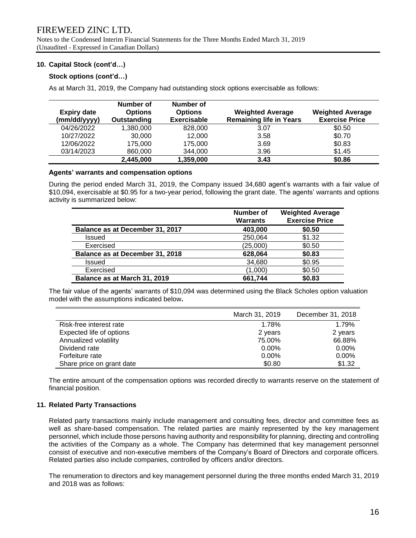Notes to the Condensed Interim Financial Statements for the Three Months Ended March 31, 2019 (Unaudited - Expressed in Canadian Dollars)

# **10. Capital Stock (cont'd…)**

# **Stock options (cont'd…)**

As at March 31, 2019, the Company had outstanding stock options exercisable as follows:

| <b>Expiry date</b><br>(mm/dd/yyyy) | Number of<br><b>Options</b><br>Outstanding | Number of<br><b>Options</b><br><b>Exercisable</b> | <b>Weighted Average</b><br><b>Remaining life in Years</b> | <b>Weighted Average</b><br><b>Exercise Price</b> |
|------------------------------------|--------------------------------------------|---------------------------------------------------|-----------------------------------------------------------|--------------------------------------------------|
| 04/26/2022                         | 1,380,000                                  | 828,000                                           | 3.07                                                      | \$0.50                                           |
| 10/27/2022                         | 30,000                                     | 12,000                                            | 3.58                                                      | \$0.70                                           |
| 12/06/2022                         | 175,000                                    | 175,000                                           | 3.69                                                      | \$0.83                                           |
| 03/14/2023                         | 860,000                                    | 344,000                                           | 3.96                                                      | \$1.45                                           |
|                                    | 2,445,000                                  | 1,359,000                                         | 3.43                                                      | \$0.86                                           |

# **Agents' warrants and compensation options**

During the period ended March 31, 2019, the Company issued 34,680 agent's warrants with a fair value of \$10,094, exercisable at \$0.95 for a two-year period, following the grant date. The agents' warrants and options activity is summarized below:

|                                 | Number of<br><b>Warrants</b> | <b>Weighted Average</b><br><b>Exercise Price</b> |
|---------------------------------|------------------------------|--------------------------------------------------|
| Balance as at December 31, 2017 | 403,000                      | \$0.50                                           |
| Issued                          | 250,064                      | \$1.32                                           |
| Exercised                       | (25,000)                     | \$0.50                                           |
| Balance as at December 31, 2018 | 628,064                      | \$0.83                                           |
| Issued                          | 34,680                       | \$0.95                                           |
| Exercised                       | (1,000)                      | \$0.50                                           |
| Balance as at March 31, 2019    | 661.744                      | \$0.83                                           |

The fair value of the agents' warrants of \$10,094 was determined using the Black Scholes option valuation model with the assumptions indicated below**.**

|                           | March 31, 2019 | December 31, 2018 |
|---------------------------|----------------|-------------------|
| Risk-free interest rate   | 1.78%          | 1.79%             |
| Expected life of options  | 2 years        | 2 years           |
| Annualized volatility     | 75.00%         | 66.88%            |
| Dividend rate             | $0.00\%$       | $0.00\%$          |
| Forfeiture rate           | $0.00\%$       | $0.00\%$          |
| Share price on grant date | \$0.80         | \$1.32            |

The entire amount of the compensation options was recorded directly to warrants reserve on the statement of financial position.

# **11. Related Party Transactions**

Related party transactions mainly include management and consulting fees, director and committee fees as well as share-based compensation. The related parties are mainly represented by the key management personnel, which include those persons having authority and responsibility for planning, directing and controlling the activities of the Company as a whole. The Company has determined that key management personnel consist of executive and non-executive members of the Company's Board of Directors and corporate officers. Related parties also include companies, controlled by officers and/or directors.

The renumeration to directors and key management personnel during the three months ended March 31, 2019 and 2018 was as follows: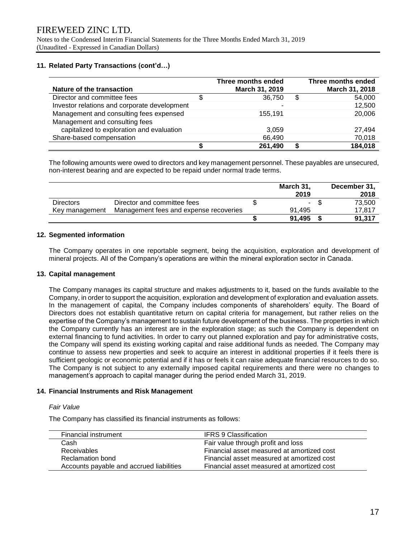# **11. Related Party Transactions (cont'd…)**

| Nature of the transaction                    |   | Three months ended<br>March 31, 2019 | Three months ended<br>March 31, 2018 |
|----------------------------------------------|---|--------------------------------------|--------------------------------------|
| Director and committee fees                  | S | 36,750                               | \$<br>54,000                         |
| Investor relations and corporate development |   |                                      | 12,500                               |
| Management and consulting fees expensed      |   | 155,191                              | 20,006                               |
| Management and consulting fees               |   |                                      |                                      |
| capitalized to exploration and evaluation    |   | 3.059                                | 27,494                               |
| Share-based compensation                     |   | 66,490                               | 70,018                               |
|                                              |   | 261,490                              | 184,018                              |

The following amounts were owed to directors and key management personnel. These payables are unsecured, non-interest bearing and are expected to be repaid under normal trade terms.

|                  |                                        | March 31, | December 31, |
|------------------|----------------------------------------|-----------|--------------|
|                  |                                        | 2019      | 2018         |
| <b>Directors</b> | Director and committee fees            | $\sim$    | 73.500       |
| Key management   | Management fees and expense recoveries | 91.495    | 17.817       |
|                  |                                        | 91.495    | 91.317       |

### **12. Segmented information**

The Company operates in one reportable segment, being the acquisition, exploration and development of mineral projects. All of the Company's operations are within the mineral exploration sector in Canada.

### **13. Capital management**

The Company manages its capital structure and makes adjustments to it, based on the funds available to the Company, in order to support the acquisition, exploration and development of exploration and evaluation assets. In the management of capital, the Company includes components of shareholders' equity. The Board of Directors does not establish quantitative return on capital criteria for management, but rather relies on the expertise of the Company's management to sustain future development of the business. The properties in which the Company currently has an interest are in the exploration stage; as such the Company is dependent on external financing to fund activities. In order to carry out planned exploration and pay for administrative costs, the Company will spend its existing working capital and raise additional funds as needed. The Company may continue to assess new properties and seek to acquire an interest in additional properties if it feels there is sufficient geologic or economic potential and if it has or feels it can raise adequate financial resources to do so. The Company is not subject to any externally imposed capital requirements and there were no changes to management's approach to capital manager during the period ended March 31, 2019.

# **14. Financial Instruments and Risk Management**

### *Fair Value*

The Company has classified its financial instruments as follows:

| Financial instrument                     | <b>IFRS 9 Classification</b>               |
|------------------------------------------|--------------------------------------------|
| Cash                                     | Fair value through profit and loss         |
| Receivables                              | Financial asset measured at amortized cost |
| Reclamation bond                         | Financial asset measured at amortized cost |
| Accounts payable and accrued liabilities | Financial asset measured at amortized cost |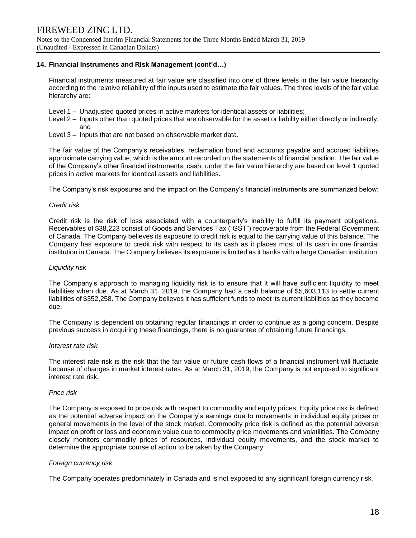## **14. Financial Instruments and Risk Management (cont'd…)**

Financial instruments measured at fair value are classified into one of three levels in the fair value hierarchy according to the relative reliability of the inputs used to estimate the fair values. The three levels of the fair value hierarchy are:

- Level 1 Unadjusted quoted prices in active markets for identical assets or liabilities;
- Level 2 Inputs other than quoted prices that are observable for the asset or liability either directly or indirectly; and
- Level 3 Inputs that are not based on observable market data.

The fair value of the Company's receivables, reclamation bond and accounts payable and accrued liabilities approximate carrying value, which is the amount recorded on the statements of financial position. The fair value of the Company's other financial instruments, cash, under the fair value hierarchy are based on level 1 quoted prices in active markets for identical assets and liabilities.

The Company's risk exposures and the impact on the Company's financial instruments are summarized below:

### *Credit risk*

Credit risk is the risk of loss associated with a counterparty's inability to fulfill its payment obligations. Receivables of \$38,223 consist of Goods and Services Tax ("GST") recoverable from the Federal Government of Canada. The Company believes its exposure to credit risk is equal to the carrying value of this balance. The Company has exposure to credit risk with respect to its cash as it places most of its cash in one financial institution in Canada. The Company believes its exposure is limited as it banks with a large Canadian institution.

#### *Liquidity risk*

The Company's approach to managing liquidity risk is to ensure that it will have sufficient liquidity to meet liabilities when due. As at March 31, 2019, the Company had a cash balance of \$5,603,113 to settle current liabilities of \$352,258. The Company believes it has sufficient funds to meet its current liabilities as they become due.

The Company is dependent on obtaining regular financings in order to continue as a going concern. Despite previous success in acquiring these financings, there is no guarantee of obtaining future financings.

### *Interest rate risk*

The interest rate risk is the risk that the fair value or future cash flows of a financial instrument will fluctuate because of changes in market interest rates. As at March 31, 2019, the Company is not exposed to significant interest rate risk.

### *Price risk*

The Company is exposed to price risk with respect to commodity and equity prices. Equity price risk is defined as the potential adverse impact on the Company's earnings due to movements in individual equity prices or general movements in the level of the stock market. Commodity price risk is defined as the potential adverse impact on profit or loss and economic value due to commodity price movements and volatilities. The Company closely monitors commodity prices of resources, individual equity movements, and the stock market to determine the appropriate course of action to be taken by the Company.

### *Foreign currency risk*

The Company operates predominately in Canada and is not exposed to any significant foreign currency risk.